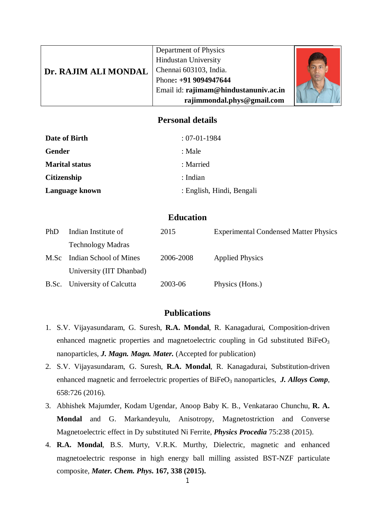| Dr. RAJIM ALI MONDAL | Department of Physics<br><b>Hindustan University</b>           |  |  |
|----------------------|----------------------------------------------------------------|--|--|
|                      | Chennai 603103, India.                                         |  |  |
|                      | Phone: +91 9094947644<br>Email id: rajimam@hindustanuniv.ac.in |  |  |
|                      | rajimmondal.phys@gmail.com                                     |  |  |

#### **Personal details**

| Date of Birth         | $: 07-01-1984$            |
|-----------------------|---------------------------|
| Gender                | : Male                    |
| <b>Marital status</b> | : Married                 |
| <b>Citizenship</b>    | : Indian                  |
| Language known        | : English, Hindi, Bengali |

# **Education**

| <b>PhD</b> | Indian Institute of          | 2015      | <b>Experimental Condensed Matter Physics</b> |
|------------|------------------------------|-----------|----------------------------------------------|
|            | <b>Technology Madras</b>     |           |                                              |
| M.Sc       | Indian School of Mines       | 2006-2008 | <b>Applied Physics</b>                       |
|            | University (IIT Dhanbad)     |           |                                              |
|            | B.Sc. University of Calcutta | 2003-06   | Physics (Hons.)                              |

## **Publications**

- 1. S.V. Vijayasundaram, G. Suresh, **R.A. Mondal**, R. Kanagadurai, Composition-driven enhanced magnetic properties and magnetoelectric coupling in Gd substituted BiFeO<sub>3</sub> nanoparticles, *J. Magn. Magn. Mater.* (Accepted for publication)
- 2. S.V. Vijayasundaram, G. Suresh, **R.A. Mondal**, R. Kanagadurai, Substitution-driven enhanced magnetic and ferroelectric properties of BiFeO<sub>3</sub> nanoparticles, *J. Alloys Comp*, 658:726 (2016).
- 3. Abhishek Majumder, Kodam Ugendar, Anoop Baby K. B., Venkatarao Chunchu, **R. A. Mondal** and G. Markandeyulu, Anisotropy, Magnetostriction and Converse Magnetoelectric effect in Dy substituted Ni Ferrite, *Physics Procedia* 75:238 (2015).
- 4. **R.A. Mondal**, B.S. Murty, V.R.K. Murthy, Dielectric, magnetic and enhanced magnetoelectric response in high energy ball milling assisted BST-NZF particulate composite, *Mater. Chem. Phys***. 167, 338 (2015).**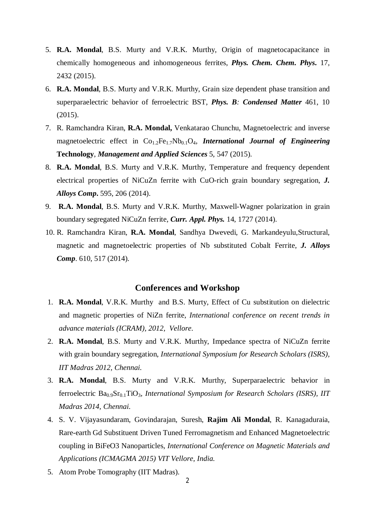- 5. **R.A. Mondal**, B.S. Murty and V.R.K. Murthy, Origin of magnetocapacitance in chemically homogeneous and inhomogeneous ferrites, *Phys. Chem. Chem. Phys***.** 17, 2432 (2015).
- 6. **R.A. Mondal**, B.S. Murty and V.R.K. Murthy, Grain size dependent phase transition and superparaelectric behavior of ferroelectric BST, *Phys. B: Condensed Matter* 461, 10 (2015).
- 7. R. Ramchandra Kiran, **R.A. Mondal,** Venkatarao Chunchu, Magnetoelectric and inverse magnetoelectric effect in  $Co_{1.2}Fe_{1.7}Nb_{0.1}O_4$ , *International Journal of Engineering* **Technology**, *Management and Applied Sciences* 5, 547 (2015).
- 8. **R.A. Mondal**, B.S. Murty and V.R.K. Murthy, Temperature and frequency dependent electrical properties of NiCuZn ferrite with CuO-rich grain boundary segregation, *J. Alloys Comp***.** 595, 206 (2014).
- 9. **R.A. Mondal**, B.S. Murty and V.R.K. Murthy, Maxwell-Wagner polarization in grain boundary segregated NiCuZn ferrite, *Curr. Appl. Phys.* 14, 1727 (2014).
- 10. R. Ramchandra Kiran, **R.A. Mondal**, Sandhya Dwevedi, G. Markandeyulu,Structural, magnetic and magnetoelectric properties of Nb substituted Cobalt Ferrite, *J. Alloys Comp*. 610, 517 (2014).

#### **Conferences and Workshop**

- 1. **R.A. Mondal**, V.R.K. Murthy and B.S. Murty, Effect of Cu substitution on dielectric and magnetic properties of NiZn ferrite, *International conference on recent trends in advance materials (ICRAM), 2012, Vellore*.
- 2. **R.A. Mondal**, B.S. Murty and V.R.K. Murthy, Impedance spectra of NiCuZn ferrite with grain boundary segregation, *International Symposium for Research Scholars (ISRS), IIT Madras 2012, Chennai.*
- 3. **R.A. Mondal**, B.S. Murty and V.R.K. Murthy, Superparaelectric behavior in ferroelectric Ba<sub>0.9</sub>Sr<sub>0.1</sub>TiO<sub>3</sub>, *International Symposium for Research Scholars (ISRS), IIT Madras 2014, Chennai.*
- 4. S. V. Vijayasundaram, Govindarajan, Suresh, **Rajim Ali Mondal**, R. Kanagaduraia, Rare-earth Gd Substituent Driven Tuned Ferromagnetism and Enhanced Magnetoelectric coupling in BiFeO3 Nanoparticles, *International Conference on Magnetic Materials and Applications (ICMAGMA 2015) VIT Vellore, India*.
- 5. Atom Probe Tomography (IIT Madras).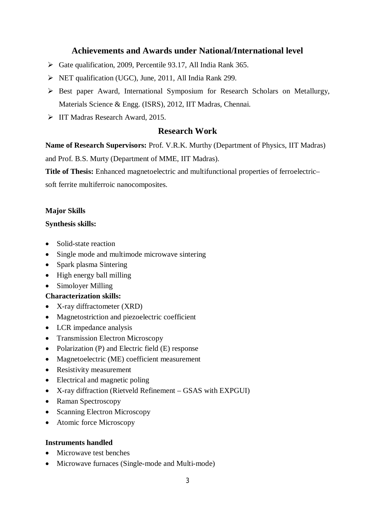# **Achievements and Awards under National/International level**

- $\triangleright$  Gate qualification, 2009, Percentile 93.17, All India Rank 365.
- NET qualification (UGC), June, 2011, All India Rank 299.
- $\triangleright$  Best paper Award, International Symposium for Research Scholars on Metallurgy, Materials Science & Engg. (ISRS), 2012, IIT Madras, Chennai.
- IIT Madras Research Award, 2015.

## **Research Work**

**Name of Research Supervisors:** Prof. V.R.K. Murthy (Department of Physics, IIT Madras)

and Prof. B.S. Murty (Department of MME, IIT Madras).

**Title of Thesis:** Enhanced magnetoelectric and multifunctional properties of ferroelectric–

soft ferrite multiferroic nanocomposites.

#### **Major Skills**

#### **Synthesis skills:**

- Solid-state reaction
- Single mode and multimode microwave sintering
- Spark plasma Sintering
- $\bullet$  High energy ball milling
- Simoloyer Milling
- **Characterization skills:**
- X-ray diffractometer (XRD)
- Magnetostriction and piezoelectric coefficient
- LCR impedance analysis
- Transmission Electron Microscopy
- Polarization (P) and Electric field (E) response
- Magnetoelectric (ME) coefficient measurement
- Resistivity measurement
- Electrical and magnetic poling
- X-ray diffraction (Rietveld Refinement GSAS with EXPGUI)
- Raman Spectroscopy
- Scanning Electron Microscopy
- Atomic force Microscopy

#### **Instruments handled**

- Microwave test benches
- Microwave furnaces (Single-mode and Multi-mode)